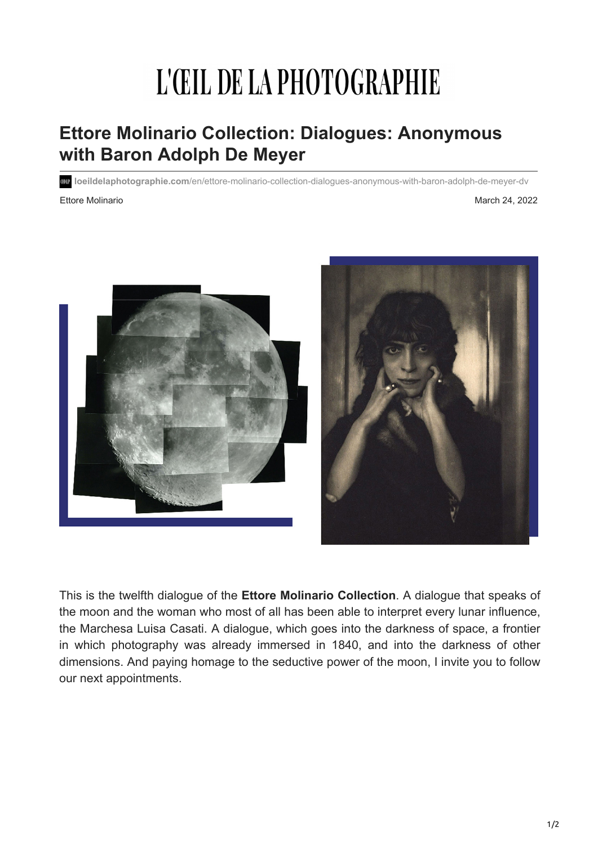## L'ŒIL DE LA PHOTOGRAPHIE

## **Ettore Molinario Collection: Dialogues: Anonymous with Baron Adolph De Meyer**

**loeildelaphotographie.com**[/en/ettore-molinario-collection-dialogues-anonymous-with-baron-adolph-de-meyer-dv](https://loeildelaphotographie.com/en/ettore-molinario-collection-dialogues-anonymous-with-baron-adolph-de-meyer-dv/?utm_source=Liste+ODLP+nouvelle+version&utm_campaign=ffe88ddeaa-Edition+of+March+24+2022&utm_medium=email&utm_term=0_27b3627ade-ffe88ddeaa-%5BLIST_EMAIL_ID%5D&ct=t(Newsletter+EN+03242022))

Ettore Molinario **March 24, 2022** 





This is the twelfth dialogue of the **Ettore Molinario Collection**. A dialogue that speaks of the moon and the woman who most of all has been able to interpret every lunar influence, the Marchesa Luisa Casati. A dialogue, which goes into the darkness of space, a frontier in which photography was already immersed in 1840, and into the darkness of other dimensions. And paying homage to the seductive power of the moon, I invite you to follow our next appointments.